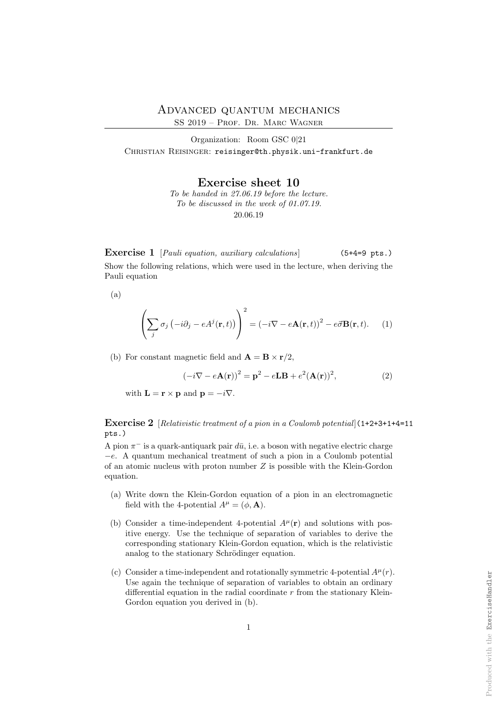Organization: Room GSC 0|21 CHRISTIAN REISINGER: reisinger@th.physik.uni-frankfurt.de

Exercise sheet 10

To be handed in 27.06.19 before the lecture. To be discussed in the week of 01.07.19. 20.06.19

Exercise 1 [Pauli equation, auxiliary calculations] (5+4=9 pts.) Show the following relations, which were used in the lecture, when deriving the Pauli equation

(a)

$$
\left(\sum_{j} \sigma_{j} \left(-i\partial_{j} - eA^{j}(\mathbf{r}, t)\right)\right)^{2} = \left(-i\nabla - e\mathbf{A}(\mathbf{r}, t)\right)^{2} - e\vec{\sigma}\mathbf{B}(\mathbf{r}, t). \tag{1}
$$

(b) For constant magnetic field and  $\mathbf{A} = \mathbf{B} \times \mathbf{r}/2$ ,

$$
(-i\nabla - e\mathbf{A}(\mathbf{r}))^{2} = \mathbf{p}^{2} - e\mathbf{L}\mathbf{B} + e^{2}(\mathbf{A}(\mathbf{r}))^{2},
$$
\n(2)

with  $\mathbf{L} = \mathbf{r} \times \mathbf{p}$  and  $\mathbf{p} = -i\nabla$ .

Exercise 2 [Relativistic treatment of a pion in a Coulomb potential](1+2+3+1+4=11 pts.)

A pion  $\pi^-$  is a quark-antiquark pair  $d\bar{u}$ , i.e. a boson with negative electric charge −e. A quantum mechanical treatment of such a pion in a Coulomb potential of an atomic nucleus with proton number Z is possible with the Klein-Gordon equation.

- (a) Write down the Klein-Gordon equation of a pion in an electromagnetic field with the 4-potential  $A^{\mu} = (\phi, \mathbf{A}).$
- (b) Consider a time-independent 4-potential  $A^{\mu}(\mathbf{r})$  and solutions with positive energy. Use the technique of separation of variables to derive the corresponding stationary Klein-Gordon equation, which is the relativistic analog to the stationary Schrödinger equation.
- (c) Consider a time-independent and rotationally symmetric 4-potential  $A^{\mu}(r)$ . Use again the technique of separation of variables to obtain an ordinary differential equation in the radial coordinate  $r$  from the stationary Klein-Gordon equation you derived in  $(b)$ .